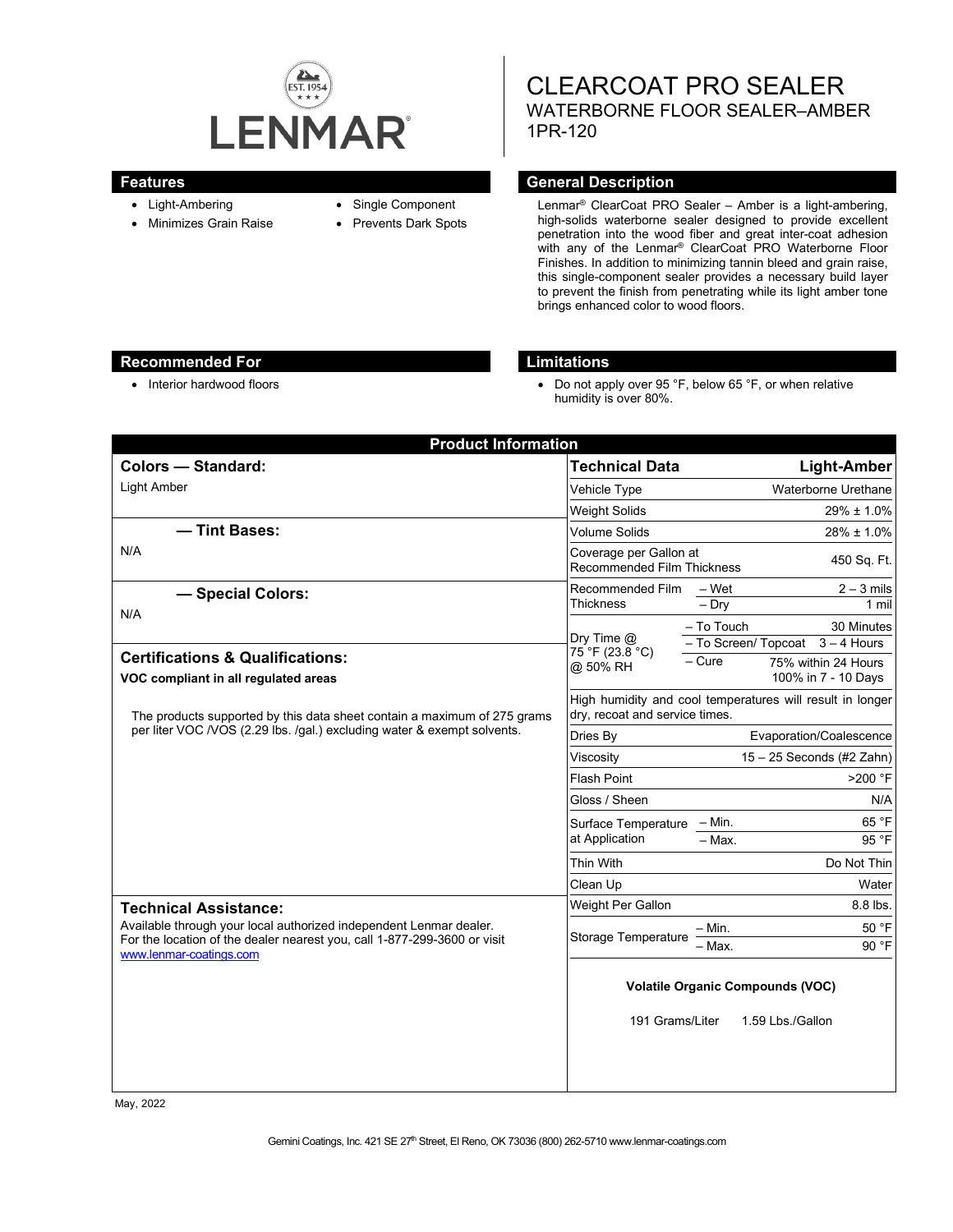

- Light-Ambering
- Minimizes Grain Raise
- Single Component
- Prevents Dark Spots

CLEARCOAT PRO SEALER WATERBORNE FLOOR SEALER–AMBER 1PR-120

#### **Features General Description**

Lenmar® ClearCoat PRO Sealer – Amber is a light-ambering, high-solids waterborne sealer designed to provide excellent penetration into the wood fiber and great inter-coat adhesion with any of the Lenmar® ClearCoat PRO Waterborne Floor Finishes. In addition to minimizing tannin bleed and grain raise, this single-component sealer provides a necessary build layer to prevent the finish from penetrating while its light amber tone brings enhanced color to wood floors.

### **Recommended For Limitations**

• Interior hardwood floors **•** Do not apply over 95 °F, below 65 °F, or when relative humidity is over 80%.

| <b>Product Information</b>                                                                                                                                                                                |                                                                                             |                                                              |
|-----------------------------------------------------------------------------------------------------------------------------------------------------------------------------------------------------------|---------------------------------------------------------------------------------------------|--------------------------------------------------------------|
| <b>Colors - Standard:</b>                                                                                                                                                                                 | <b>Technical Data</b>                                                                       | <b>Light-Amber</b>                                           |
| <b>Light Amber</b>                                                                                                                                                                                        | Vehicle Type                                                                                | Waterborne Urethane                                          |
|                                                                                                                                                                                                           | Weight Solids                                                                               | $29\% \pm 1.0\%$                                             |
| - Tint Bases:                                                                                                                                                                                             | <b>Volume Solids</b>                                                                        | 28% ± 1.0%                                                   |
| N/A                                                                                                                                                                                                       | Coverage per Gallon at<br><b>Recommended Film Thickness</b>                                 | 450 Sq. Ft.                                                  |
| - Special Colors:<br>N/A                                                                                                                                                                                  | Recommended Film<br><b>Thickness</b>                                                        | $2 - 3$ mils<br>– Wet<br>$-$ Dry<br>1 mil                    |
|                                                                                                                                                                                                           | Dry Time $@$<br>75 °F (23.8 °C)<br>@ 50% RH                                                 | - To Touch<br>30 Minutes<br>- To Screen/ Topcoat 3 - 4 Hours |
| <b>Certifications &amp; Qualifications:</b><br>VOC compliant in all regulated areas                                                                                                                       |                                                                                             | $-$ Cure<br>75% within 24 Hours<br>100% in 7 - 10 Days       |
| The products supported by this data sheet contain a maximum of 275 grams<br>per liter VOC /VOS (2.29 lbs. /gal.) excluding water & exempt solvents.                                                       | High humidity and cool temperatures will result in longer<br>dry, recoat and service times. |                                                              |
|                                                                                                                                                                                                           | Dries By                                                                                    | Evaporation/Coalescence                                      |
|                                                                                                                                                                                                           | Viscosity                                                                                   | $15 - 25$ Seconds (#2 Zahn)                                  |
|                                                                                                                                                                                                           | <b>Flash Point</b>                                                                          | >200 °F                                                      |
|                                                                                                                                                                                                           | Gloss / Sheen                                                                               | N/A                                                          |
|                                                                                                                                                                                                           | Surface Temperature - Min.<br>at Application                                                | 65 °F                                                        |
|                                                                                                                                                                                                           |                                                                                             | - Max.<br>95 °F                                              |
|                                                                                                                                                                                                           | Thin With                                                                                   | Do Not Thin                                                  |
|                                                                                                                                                                                                           | Clean Up                                                                                    | Water                                                        |
| <b>Technical Assistance:</b><br>Available through your local authorized independent Lenmar dealer.<br>For the location of the dealer nearest you, call 1-877-299-3600 or visit<br>www.lenmar-coatings.com | Weight Per Gallon                                                                           | 8.8 lbs.                                                     |
|                                                                                                                                                                                                           | <b>Storage Temperature</b>                                                                  | 50 °F<br>– Min.<br>90 °F<br>- Max.                           |
|                                                                                                                                                                                                           | <b>Volatile Organic Compounds (VOC)</b>                                                     |                                                              |
|                                                                                                                                                                                                           | 191 Grams/Liter                                                                             | 1.59 Lbs./Gallon                                             |
|                                                                                                                                                                                                           |                                                                                             |                                                              |

May, 2022